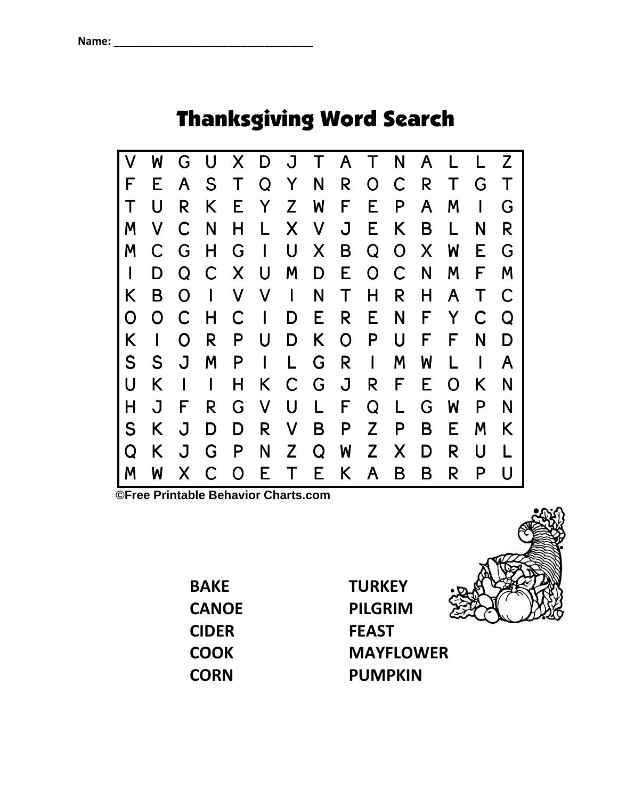## Thanksgiving Word Search



**©Free Printable Behavior Charts.com** 

BAKE **CANOE** CIDER **COOK CORN** 

**TURKEY** PILGRIM FEAST MAYFLOWER PUMPKIN